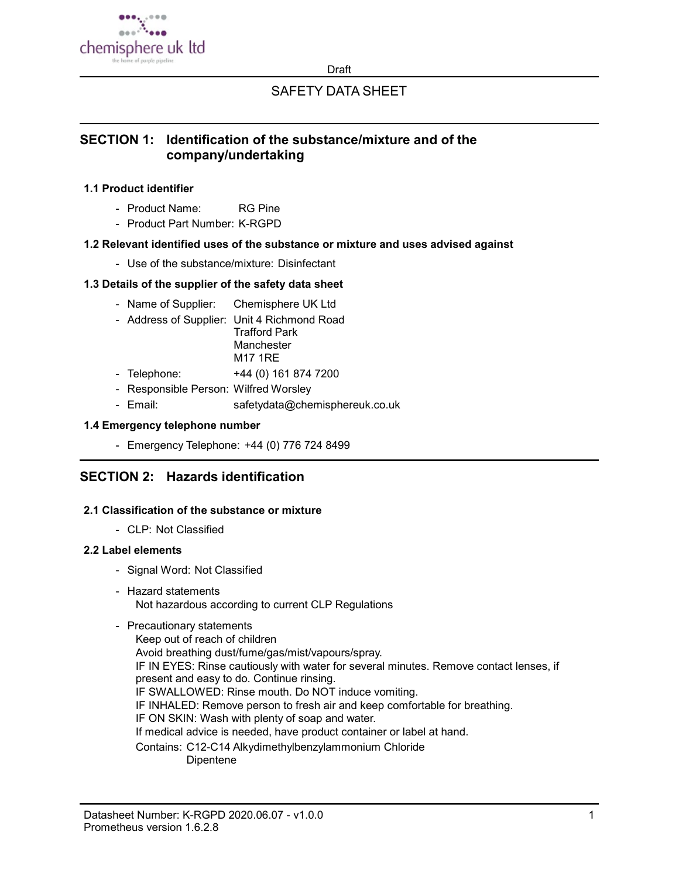

**Draft** 

# SAFETY DATA SHEET

# SECTION 1: Identification of the substance/mixture and of the company/undertaking

## 1.1 Product identifier

- Product Name: RG Pine
- Product Part Number: K-RGPD

## 1.2 Relevant identified uses of the substance or mixture and uses advised against

- Use of the substance/mixture: Disinfectant

## 1.3 Details of the supplier of the safety data sheet

- Name of Supplier: Chemisphere UK Ltd
- Address of Supplier: Unit 4 Richmond Road Trafford Park **Manchester** M17 1RE
- Telephone: +44 (0) 161 874 7200
- Responsible Person: Wilfred Worsley
- Email: safetydata@chemisphereuk.co.uk

## 1.4 Emergency telephone number

- Emergency Telephone: +44 (0) 776 724 8499

# SECTION 2: Hazards identification

## 2.1 Classification of the substance or mixture

- CLP: Not Classified

#### 2.2 Label elements

- Signal Word: Not Classified
- Hazard statements Not hazardous according to current CLP Regulations

## - Precautionary statements

Keep out of reach of children Avoid breathing dust/fume/gas/mist/vapours/spray. IF IN EYES: Rinse cautiously with water for several minutes. Remove contact lenses, if present and easy to do. Continue rinsing. IF SWALLOWED: Rinse mouth. Do NOT induce vomiting. IF INHALED: Remove person to fresh air and keep comfortable for breathing. IF ON SKIN: Wash with plenty of soap and water. If medical advice is needed, have product container or label at hand. Contains: C12-C14 Alkydimethylbenzylammonium Chloride Dipentene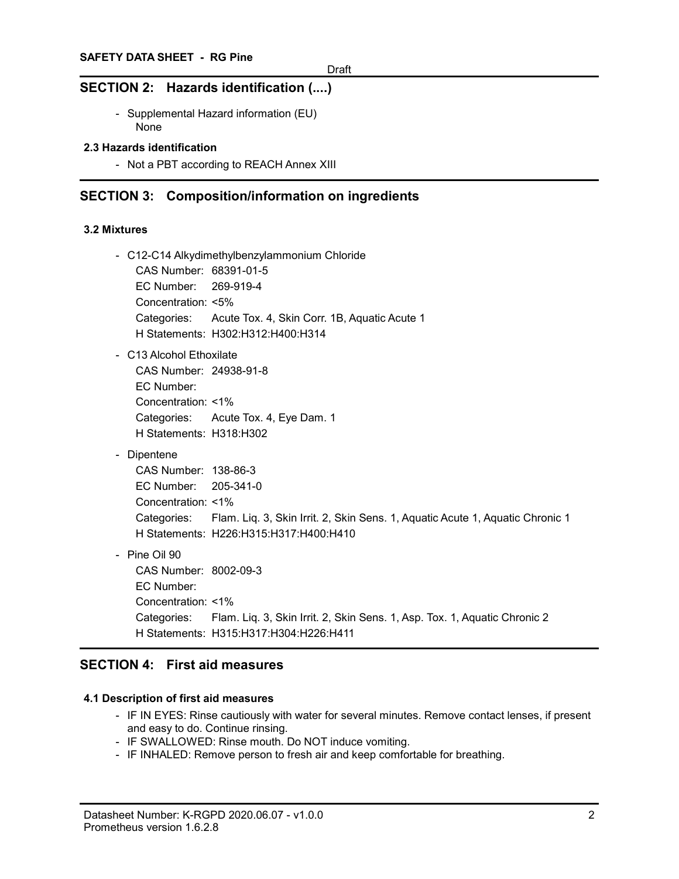## SECTION 2: Hazards identification (....)

- Supplemental Hazard information (EU) None

## 2.3 Hazards identification

- Not a PBT according to REACH Annex XIII

## SECTION 3: Composition/information on ingredients

#### 3.2 Mixtures

- C12-C14 Alkydimethylbenzylammonium Chloride CAS Number: 68391-01-5
	- EC Number: 269-919-4 Concentration: <5% Categories: Acute Tox. 4, Skin Corr. 1B, Aquatic Acute 1 H Statements: H302:H312:H400:H314
- C13 Alcohol Ethoxilate
	- CAS Number: 24938-91-8 EC Number: Concentration: <1% Categories: Acute Tox. 4, Eye Dam. 1 H Statements: H318:H302
- Dipentene

CAS Number: 138-86-3 EC Number: 205-341-0 Concentration: <1% Categories: Flam. Liq. 3, Skin Irrit. 2, Skin Sens. 1, Aquatic Acute 1, Aquatic Chronic 1 H Statements: H226:H315:H317:H400:H410

- Pine Oil 90

```
CAS Number: 8002-09-3
EC Number:
Concentration: <1%
Categories: Flam. Liq. 3, Skin Irrit. 2, Skin Sens. 1, Asp. Tox. 1, Aquatic Chronic 2
H Statements: H315:H317:H304:H226:H411
```
# SECTION 4: First aid measures

### 4.1 Description of first aid measures

- IF IN EYES: Rinse cautiously with water for several minutes. Remove contact lenses, if present and easy to do. Continue rinsing.
- IF SWALLOWED: Rinse mouth. Do NOT induce vomiting.
- IF INHALED: Remove person to fresh air and keep comfortable for breathing.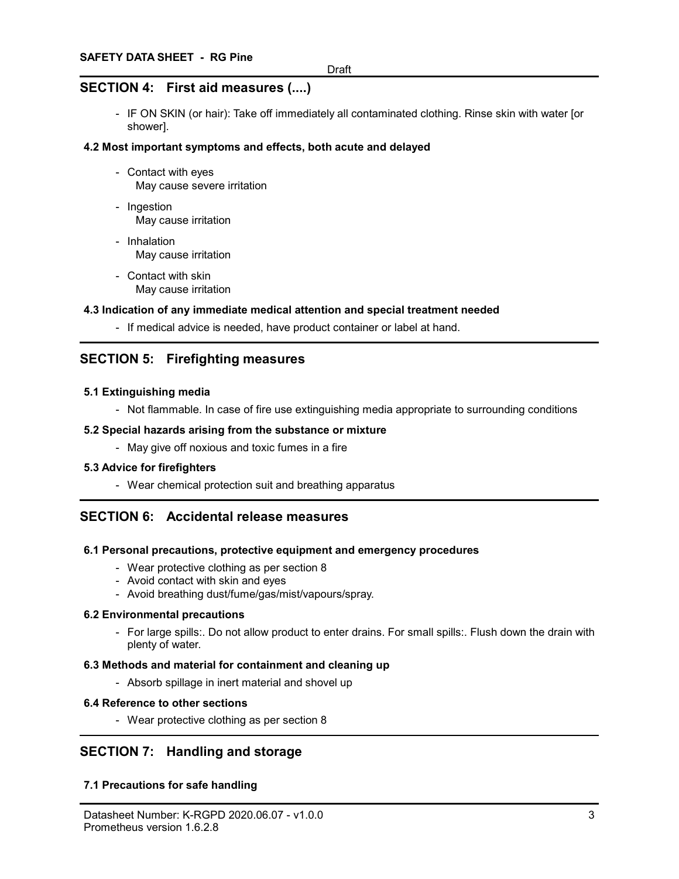# SECTION 4: First aid measures (....)

- IF ON SKIN (or hair): Take off immediately all contaminated clothing. Rinse skin with water [or shower].

### 4.2 Most important symptoms and effects, both acute and delayed

- Contact with eyes May cause severe irritation
- Ingestion May cause irritation
- Inhalation May cause irritation
- Contact with skin May cause irritation

#### 4.3 Indication of any immediate medical attention and special treatment needed

- If medical advice is needed, have product container or label at hand.

# SECTION 5: Firefighting measures

#### 5.1 Extinguishing media

- Not flammable. In case of fire use extinguishing media appropriate to surrounding conditions

#### 5.2 Special hazards arising from the substance or mixture

- May give off noxious and toxic fumes in a fire

#### 5.3 Advice for firefighters

- Wear chemical protection suit and breathing apparatus

## SECTION 6: Accidental release measures

#### 6.1 Personal precautions, protective equipment and emergency procedures

- Wear protective clothing as per section 8
- Avoid contact with skin and eyes
- Avoid breathing dust/fume/gas/mist/vapours/spray.

#### 6.2 Environmental precautions

- For large spills:. Do not allow product to enter drains. For small spills:. Flush down the drain with plenty of water.

#### 6.3 Methods and material for containment and cleaning up

- Absorb spillage in inert material and shovel up

#### 6.4 Reference to other sections

- Wear protective clothing as per section 8

## SECTION 7: Handling and storage

## 7.1 Precautions for safe handling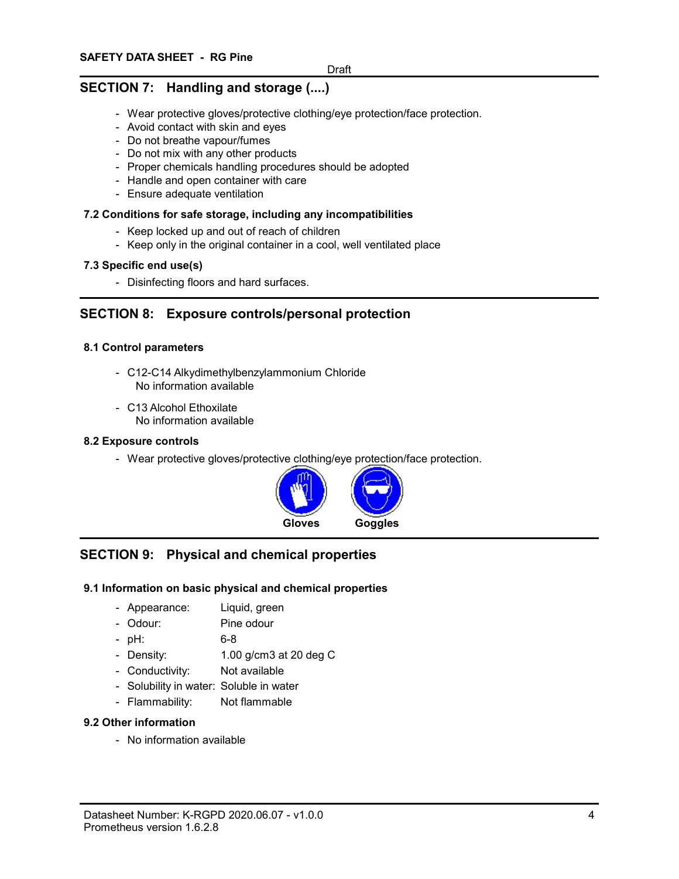# SECTION 7: Handling and storage (....)

- Wear protective gloves/protective clothing/eye protection/face protection.
- Avoid contact with skin and eyes
- Do not breathe vapour/fumes
- Do not mix with any other products
- Proper chemicals handling procedures should be adopted
- Handle and open container with care
- Ensure adequate ventilation

### 7.2 Conditions for safe storage, including any incompatibilities

- Keep locked up and out of reach of children
- Keep only in the original container in a cool, well ventilated place

#### 7.3 Specific end use(s)

- Disinfecting floors and hard surfaces.

# SECTION 8: Exposure controls/personal protection

## 8.1 Control parameters

- C12-C14 Alkydimethylbenzylammonium Chloride No information available
- C13 Alcohol Ethoxilate No information available

#### 8.2 Exposure controls

- Wear protective gloves/protective clothing/eye protection/face protection.



# SECTION 9: Physical and chemical properties

## 9.1 Information on basic physical and chemical properties

- Appearance: Liquid, green
- Odour: Pine odour
- pH: 6-8
- Density: 1.00 g/cm3 at 20 deg C
- Conductivity: Not available
- Solubility in water: Soluble in water
- Flammability: Not flammable

#### 9.2 Other information

- No information available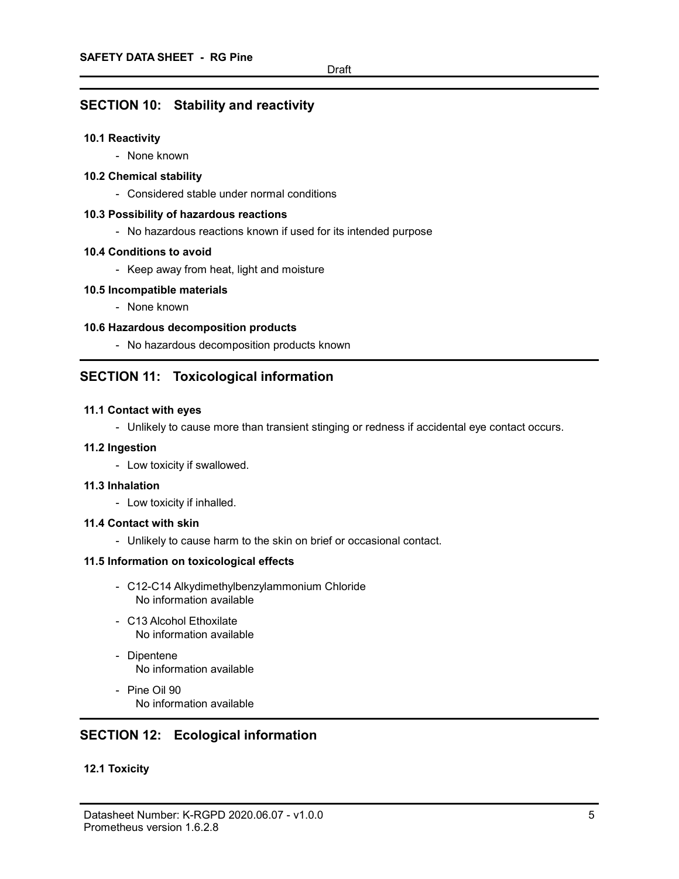## SECTION 10: Stability and reactivity

### 10.1 Reactivity

- None known

### 10.2 Chemical stability

- Considered stable under normal conditions

#### 10.3 Possibility of hazardous reactions

- No hazardous reactions known if used for its intended purpose

#### 10.4 Conditions to avoid

- Keep away from heat, light and moisture

#### 10.5 Incompatible materials

- None known

## 10.6 Hazardous decomposition products

- No hazardous decomposition products known

# SECTION 11: Toxicological information

#### 11.1 Contact with eyes

- Unlikely to cause more than transient stinging or redness if accidental eye contact occurs.

#### 11.2 Ingestion

- Low toxicity if swallowed.

#### 11.3 Inhalation

- Low toxicity if inhalled.

#### 11.4 Contact with skin

- Unlikely to cause harm to the skin on brief or occasional contact.

#### 11.5 Information on toxicological effects

- C12-C14 Alkydimethylbenzylammonium Chloride No information available
- C13 Alcohol Ethoxilate No information available
- Dipentene No information available
- Pine Oil 90 No information available

# SECTION 12: Ecological information

# 12.1 Toxicity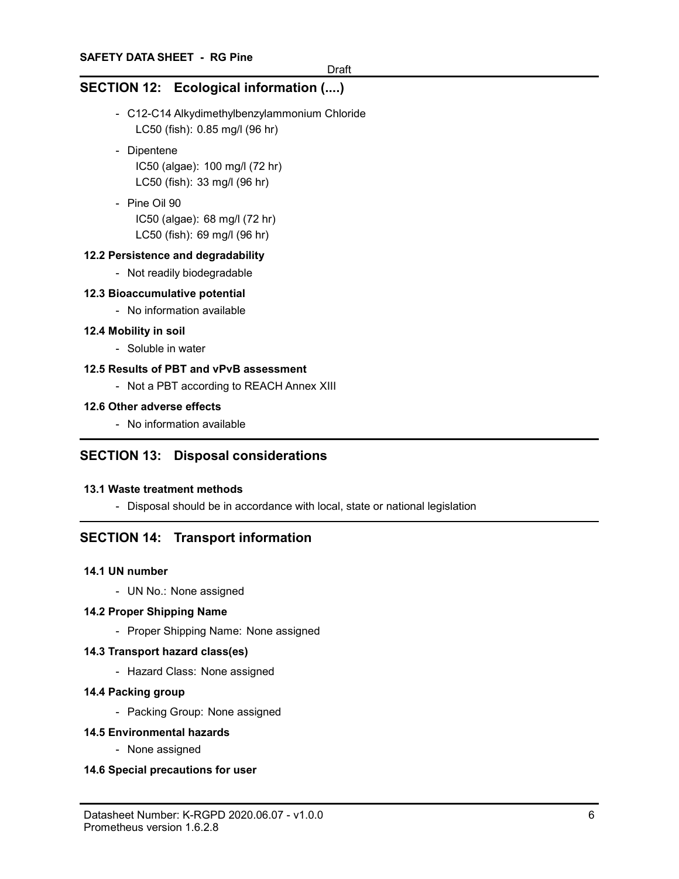# SECTION 12: Ecological information (....)

- C12-C14 Alkydimethylbenzylammonium Chloride LC50 (fish): 0.85 mg/l (96 hr)
- Dipentene IC50 (algae): 100 mg/l (72 hr) LC50 (fish): 33 mg/l (96 hr)
- Pine Oil 90 IC50 (algae): 68 mg/l (72 hr) LC50 (fish): 69 mg/l (96 hr)

## 12.2 Persistence and degradability

- Not readily biodegradable

## 12.3 Bioaccumulative potential

- No information available

#### 12.4 Mobility in soil

- Soluble in water

#### 12.5 Results of PBT and vPvB assessment

- Not a PBT according to REACH Annex XIII

### 12.6 Other adverse effects

- No information available

## SECTION 13: Disposal considerations

#### 13.1 Waste treatment methods

- Disposal should be in accordance with local, state or national legislation

# SECTION 14: Transport information

#### 14.1 UN number

- UN No.: None assigned

#### 14.2 Proper Shipping Name

- Proper Shipping Name: None assigned

#### 14.3 Transport hazard class(es)

- Hazard Class: None assigned

#### 14.4 Packing group

- Packing Group: None assigned

#### 14.5 Environmental hazards

- None assigned

#### 14.6 Special precautions for user